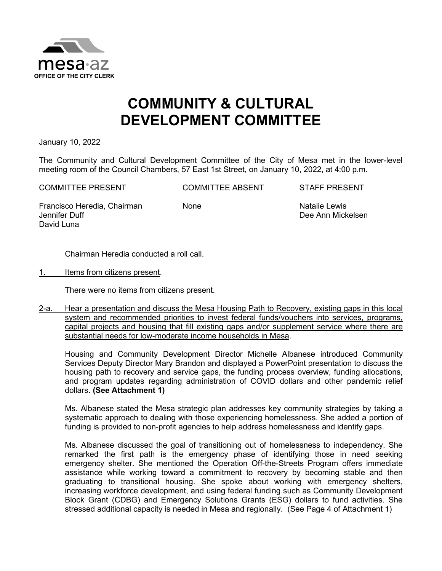

#### **COMMUNITY & CULTURAL DEVELOPMENT COMMITTEE**

January 10, 2022

The Community and Cultural Development Committee of the City of Mesa met in the lower-level meeting room of the Council Chambers, 57 East 1st Street, on January 10, 2022, at 4:00 p.m.

COMMITTEE PRESENT COMMITTEE ABSENT STAFF PRESENT

Francisco Heredia, Chairman Jennifer Duff David Luna

None Natalie Lewis Dee Ann Mickelsen

Chairman Heredia conducted a roll call.

1. Items from citizens present.

There were no items from citizens present.

2-a. Hear a presentation and discuss the Mesa Housing Path to Recovery, existing gaps in this local system and recommended priorities to invest federal funds/vouchers into services, programs, capital projects and housing that fill existing gaps and/or supplement service where there are substantial needs for low-moderate income households in Mesa.

Housing and Community Development Director Michelle Albanese introduced Community Services Deputy Director Mary Brandon and displayed a PowerPoint presentation to discuss the housing path to recovery and service gaps, the funding process overview, funding allocations, and program updates regarding administration of COVID dollars and other pandemic relief dollars. **(See Attachment 1)**

Ms. Albanese stated the Mesa strategic plan addresses key community strategies by taking a systematic approach to dealing with those experiencing homelessness. She added a portion of funding is provided to non-profit agencies to help address homelessness and identify gaps.

Ms. Albanese discussed the goal of transitioning out of homelessness to independency. She remarked the first path is the emergency phase of identifying those in need seeking emergency shelter. She mentioned the Operation Off-the-Streets Program offers immediate assistance while working toward a commitment to recovery by becoming stable and then graduating to transitional housing. She spoke about working with emergency shelters, increasing workforce development, and using federal funding such as Community Development Block Grant (CDBG) and Emergency Solutions Grants (ESG) dollars to fund activities. She stressed additional capacity is needed in Mesa and regionally. (See Page 4 of Attachment 1)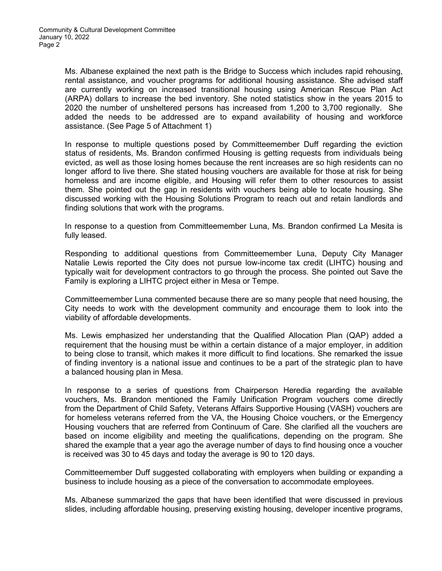Ms. Albanese explained the next path is the Bridge to Success which includes rapid rehousing, rental assistance, and voucher programs for additional housing assistance. She advised staff are currently working on increased transitional housing using American Rescue Plan Act (ARPA) dollars to increase the bed inventory. She noted statistics show in the years 2015 to 2020 the number of unsheltered persons has increased from 1,200 to 3,700 regionally. She added the needs to be addressed are to expand availability of housing and workforce assistance. (See Page 5 of Attachment 1)

In response to multiple questions posed by Committeemember Duff regarding the eviction status of residents, Ms. Brandon confirmed Housing is getting requests from individuals being evicted, as well as those losing homes because the rent increases are so high residents can no longer afford to live there. She stated housing vouchers are available for those at risk for being homeless and are income eligible, and Housing will refer them to other resources to assist them. She pointed out the gap in residents with vouchers being able to locate housing. She discussed working with the Housing Solutions Program to reach out and retain landlords and finding solutions that work with the programs.

In response to a question from Committeemember Luna, Ms. Brandon confirmed La Mesita is fully leased.

Responding to additional questions from Committeemember Luna, Deputy City Manager Natalie Lewis reported the City does not pursue low-income tax credit (LIHTC) housing and typically wait for development contractors to go through the process. She pointed out Save the Family is exploring a LIHTC project either in Mesa or Tempe.

Committeemember Luna commented because there are so many people that need housing, the City needs to work with the development community and encourage them to look into the viability of affordable developments.

Ms. Lewis emphasized her understanding that the Qualified Allocation Plan (QAP) added a requirement that the housing must be within a certain distance of a major employer, in addition to being close to transit, which makes it more difficult to find locations. She remarked the issue of finding inventory is a national issue and continues to be a part of the strategic plan to have a balanced housing plan in Mesa.

In response to a series of questions from Chairperson Heredia regarding the available vouchers, Ms. Brandon mentioned the Family Unification Program vouchers come directly from the Department of Child Safety, Veterans Affairs Supportive Housing (VASH) vouchers are for homeless veterans referred from the VA, the Housing Choice vouchers, or the Emergency Housing vouchers that are referred from Continuum of Care. She clarified all the vouchers are based on income eligibility and meeting the qualifications, depending on the program. She shared the example that a year ago the average number of days to find housing once a voucher is received was 30 to 45 days and today the average is 90 to 120 days.

Committeemember Duff suggested collaborating with employers when building or expanding a business to include housing as a piece of the conversation to accommodate employees.

Ms. Albanese summarized the gaps that have been identified that were discussed in previous slides, including affordable housing, preserving existing housing, developer incentive programs,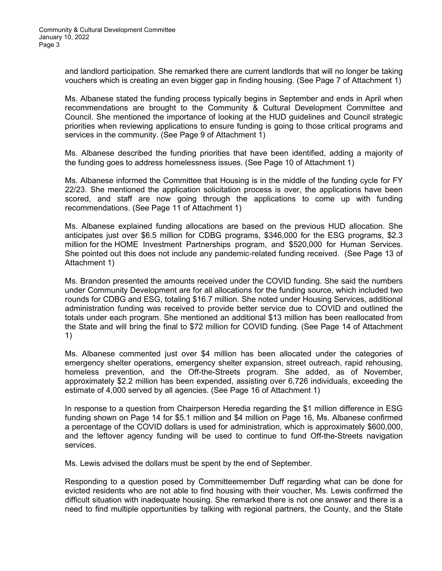and landlord participation. She remarked there are current landlords that will no longer be taking vouchers which is creating an even bigger gap in finding housing. (See Page 7 of Attachment 1)

Ms. Albanese stated the funding process typically begins in September and ends in April when recommendations are brought to the Community & Cultural Development Committee and Council. She mentioned the importance of looking at the HUD guidelines and Council strategic priorities when reviewing applications to ensure funding is going to those critical programs and services in the community. (See Page 9 of Attachment 1)

Ms. Albanese described the funding priorities that have been identified, adding a majority of the funding goes to address homelessness issues. (See Page 10 of Attachment 1)

Ms. Albanese informed the Committee that Housing is in the middle of the funding cycle for FY 22/23. She mentioned the application solicitation process is over, the applications have been scored, and staff are now going through the applications to come up with funding recommendations. (See Page 11 of Attachment 1)

Ms. Albanese explained funding allocations are based on the previous HUD allocation. She anticipates just over \$6.5 million for CDBG programs, \$346,000 for the ESG programs, \$2.3 million for the HOME Investment Partnerships program, and \$520,000 for Human Services. She pointed out this does not include any pandemic-related funding received. (See Page 13 of Attachment 1)

Ms. Brandon presented the amounts received under the COVID funding. She said the numbers under Community Development are for all allocations for the funding source, which included two rounds for CDBG and ESG, totaling \$16.7 million. She noted under Housing Services, additional administration funding was received to provide better service due to COVID and outlined the totals under each program. She mentioned an additional \$13 million has been reallocated from the State and will bring the final to \$72 million for COVID funding. (See Page 14 of Attachment 1)

Ms. Albanese commented just over \$4 million has been allocated under the categories of emergency shelter operations, emergency shelter expansion, street outreach, rapid rehousing, homeless prevention, and the Off-the-Streets program. She added, as of November, approximately \$2.2 million has been expended, assisting over 6,726 individuals, exceeding the estimate of 4,000 served by all agencies. (See Page 16 of Attachment 1)

In response to a question from Chairperson Heredia regarding the \$1 million difference in ESG funding shown on Page 14 for \$5.1 million and \$4 million on Page 16, Ms. Albanese confirmed a percentage of the COVID dollars is used for administration, which is approximately \$600,000, and the leftover agency funding will be used to continue to fund Off-the-Streets navigation services.

Ms. Lewis advised the dollars must be spent by the end of September.

Responding to a question posed by Committeemember Duff regarding what can be done for evicted residents who are not able to find housing with their voucher, Ms. Lewis confirmed the difficult situation with inadequate housing. She remarked there is not one answer and there is a need to find multiple opportunities by talking with regional partners, the County, and the State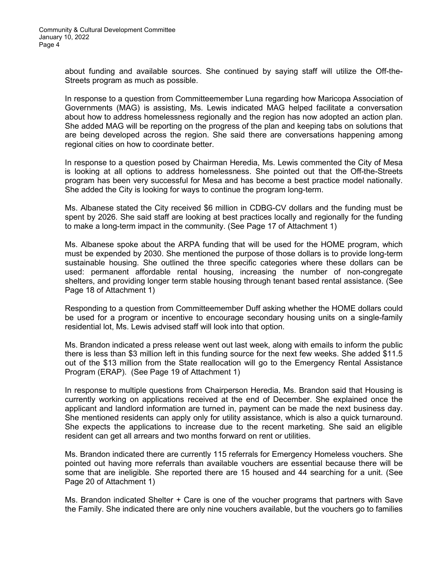about funding and available sources. She continued by saying staff will utilize the Off-the-Streets program as much as possible.

In response to a question from Committeemember Luna regarding how Maricopa Association of Governments (MAG) is assisting, Ms. Lewis indicated MAG helped facilitate a conversation about how to address homelessness regionally and the region has now adopted an action plan. She added MAG will be reporting on the progress of the plan and keeping tabs on solutions that are being developed across the region. She said there are conversations happening among regional cities on how to coordinate better.

In response to a question posed by Chairman Heredia, Ms. Lewis commented the City of Mesa is looking at all options to address homelessness. She pointed out that the Off-the-Streets program has been very successful for Mesa and has become a best practice model nationally. She added the City is looking for ways to continue the program long-term.

Ms. Albanese stated the City received \$6 million in CDBG-CV dollars and the funding must be spent by 2026. She said staff are looking at best practices locally and regionally for the funding to make a long-term impact in the community. (See Page 17 of Attachment 1)

Ms. Albanese spoke about the ARPA funding that will be used for the HOME program, which must be expended by 2030. She mentioned the purpose of those dollars is to provide long-term sustainable housing. She outlined the three specific categories where these dollars can be used: permanent affordable rental housing, increasing the number of non-congregate shelters, and providing longer term stable housing through tenant based rental assistance. (See Page 18 of Attachment 1)

Responding to a question from Committeemember Duff asking whether the HOME dollars could be used for a program or incentive to encourage secondary housing units on a single-family residential lot, Ms. Lewis advised staff will look into that option.

Ms. Brandon indicated a press release went out last week, along with emails to inform the public there is less than \$3 million left in this funding source for the next few weeks. She added \$11.5 out of the \$13 million from the State reallocation will go to the Emergency Rental Assistance Program (ERAP). (See Page 19 of Attachment 1)

In response to multiple questions from Chairperson Heredia, Ms. Brandon said that Housing is currently working on applications received at the end of December. She explained once the applicant and landlord information are turned in, payment can be made the next business day. She mentioned residents can apply only for utility assistance, which is also a quick turnaround. She expects the applications to increase due to the recent marketing. She said an eligible resident can get all arrears and two months forward on rent or utilities.

Ms. Brandon indicated there are currently 115 referrals for Emergency Homeless vouchers. She pointed out having more referrals than available vouchers are essential because there will be some that are ineligible. She reported there are 15 housed and 44 searching for a unit. (See Page 20 of Attachment 1)

Ms. Brandon indicated Shelter + Care is one of the voucher programs that partners with Save the Family. She indicated there are only nine vouchers available, but the vouchers go to families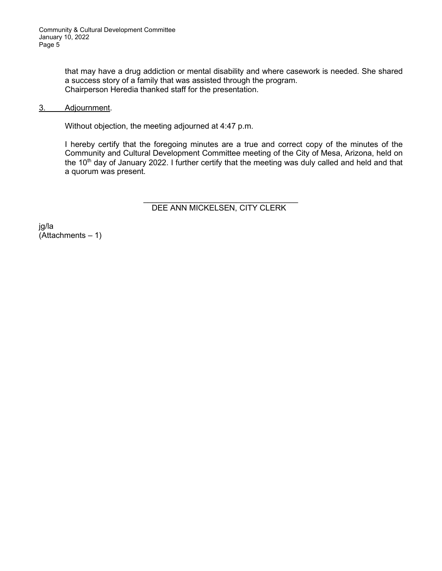that may have a drug addiction or mental disability and where casework is needed. She shared a success story of a family that was assisted through the program. Chairperson Heredia thanked staff for the presentation.

#### 3. Adjournment.

Without objection, the meeting adjourned at 4:47 p.m.

I hereby certify that the foregoing minutes are a true and correct copy of the minutes of the Community and Cultural Development Committee meeting of the City of Mesa, Arizona, held on the 10<sup>th</sup> day of January 2022. I further certify that the meeting was duly called and held and that a quorum was present.

#### $\mathcal{L}_\text{max}$  , where  $\mathcal{L}_\text{max}$  , we have the set of  $\mathcal{L}_\text{max}$ DEE ANN MICKELSEN, CITY CLERK

jg/la  $(Attachments - 1)$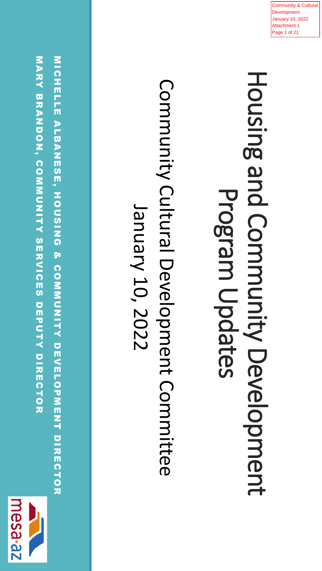

**MARY BANDON, COMMONICES DEPAIRMENTS DES DEPRISSIONS** MICHELLE ALBANESE, HOUSING & COMMUNITY DEVELOPMENT DIRECTOR MARY BRANDON, COMMUNITY SERVICES DEPUTY DIRECTOR MICHELLE ALBANESE, HOUSING & COMMUNITY DEVELOPMENT DIRECTOR

Community Cultural Development Committee Community Cultural Development Committee January 10, 2022 January 10, 2022

Housing and Community Development **Housing and Community Development** Program Updates Program Updates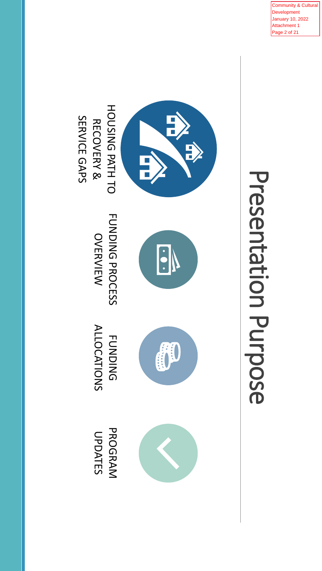ommunity & Cultural Development January 10, 2022 Attachment 1 age 2 of 21



# Presentation Purpose Presentation Purpose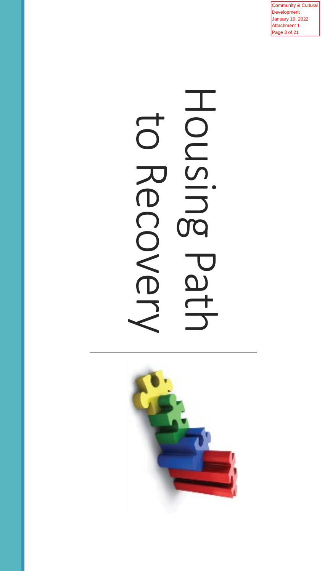Community & Cultural Development January 10, 2022 Attachment 1 Page 3 of 21

## Housing Path HONSING to Recover 199

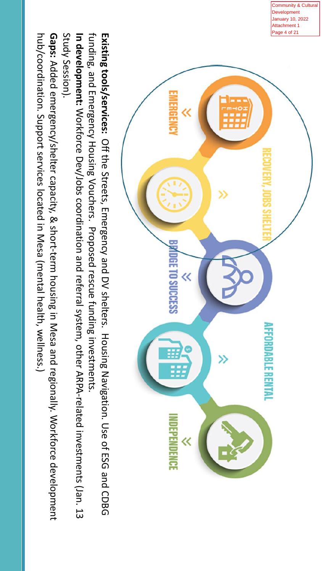Community & Cultural Development January 10, 2022 Attachment 1 Page 4 of 21



funding, and Emergency Housing Vouchers. Proposed rescue funding investments Existing tools/services: Off the Streets, Emergency and DV shelters. Housing Navigation. Use of ESG and CDBG **In development:** Workforce Dev/Jobs coordination and referral system, other ARPA-related investments (Jan. 13 funding, and Emergency Housing Vouchers. **Existing tools/services: In development:** Workforce Dev/Jobs coordination and referral system, other ARPA-related investments (Jan. 13 Off the Streets, Emergency and DV shelters. Proposed rescue funding investments. Housing Navigation. Use of ESG and CDBG

Study Session). Study Session).

**Gaps:** Added emergency/shelter capacity, & short-term housing in Mesa and regionally. Workforce development hub/coordination. Support services located in Mesa (mental health, wellness.) hub/coordination. Support services located in Mesa (mental health, wellness.) Added emergency/shelter capacity, & short-term housing in Mesa and regionally. Workforce development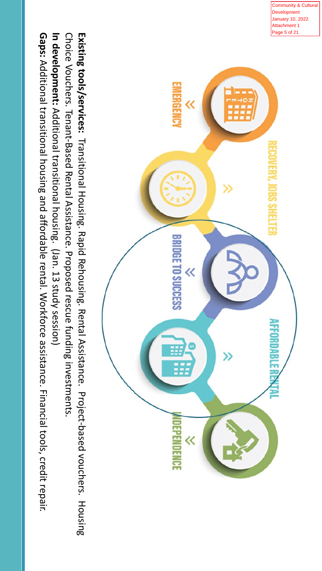

Community & Cultural Development nuary 10, 2022

In development: Additional transitional housing. (Jan. 13 study session) Choice Vouchers. Tenant-Based Rental Assistance. Proposed rescue funding investments. **In development:** Additional transitional housing. Choice Vouchers. **Existing tools/services:** Tenant-Based Rental Assistance. Proposed rescue funding investments. Transitional Housing. Rapid Rehousing. Rental Assistance. (Jan. 13 study session) Project-based vouchers. Housing

**Gaps:** Additional transitional housing and affordable rental. Workforce assistance. Financial tools, credit repair. Additional transitional housing and affordable rental. Workforce assistance. Financial tools, credit repair.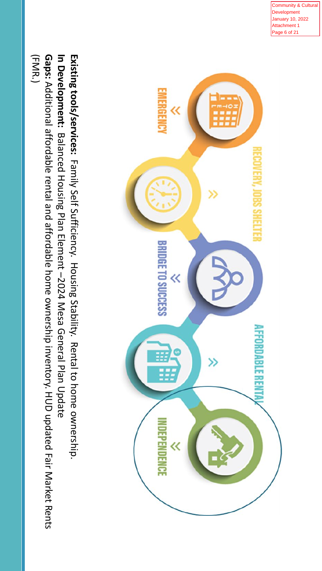Community & Cultural evelopment anuary 10, 2022 Attachment 1 ge 6 of 21

Existing tools/services: Family Self Sufficiency. Housing Stability. Rental to home ownership. **Existing tools/services:** EMERGENC Family Self Sufficiency. BRIDGE TO SUCCESS Housing Stability. ≪ Rental to home ownership. **NDEPENDENCE** 

**Gaps:** Additional affordable rental and affordable home ownership inventory. HUD updated Fair Market Rents In Development: Balanced Housing Plan Element -2024 Mesa General Plan Update (FMR.) **In Development:** Additional affordable rental and affordable home ownership inventory. HUD updated Fair Market Rents Balanced Housing Plan Element –2024 Mesa General Plan Update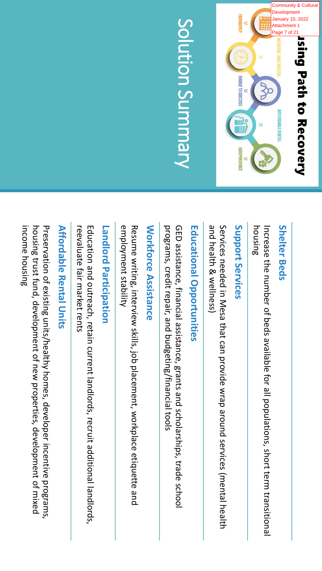

## Solution Summary Solution Summary

#### **Shelter Beds Shelter Beds**

housing Increase the number of beds available for all populations, short term transitional Increase the number of beds available for all populations, short term transitional

### Support Services **Support Services**

and health & wellness) Services needed in Mesa that can provide wrap around services (mental health and health & wellness) Services needed in Mesa that can provide wrap around services (mental health

## **Educational Opportunities Educational Opportunities**

programs, credit repair, and budgeting/financial tools GED assistance, financial assistance, grants and scholarships, trade school programs, credit repair, and budgeting/financial tools GED assistance, financial assistance, grants and scholarships, trade school

## **Workforce Assistance Workforce Assistance**

employment stability Resume writing, interview skills, job placement, workplace etiquette and employment stability Resume writing, interview skills, job placement, workplace etiquette and

## **Landlord Participation Landlord Participation**

reevaluate fair market rents Education and outreach, retain current landlords, recruit additional landlords, reevaluate fair market rents Education and outreach, retain current landlords, recruit additional landlords,

## **Affordable Rental Units Affordable Rental Units**

income housing Preservation of existing units/healthy homes, developer incentive programs, income housing housing trust fund, development of new properties, development of mixed housing trust fund, development of new properties, development of mixed Preservation of existing units/healthy homes, developer incentive programs,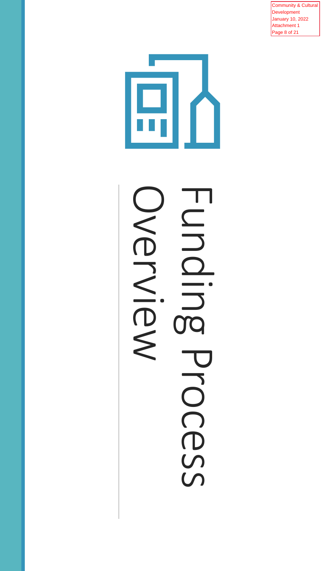Community & Cultural Development January 10, 2022 Attachment 1 Page 8 of 21



## Funding Process HONDI OVENIEW **TC** PLOCESS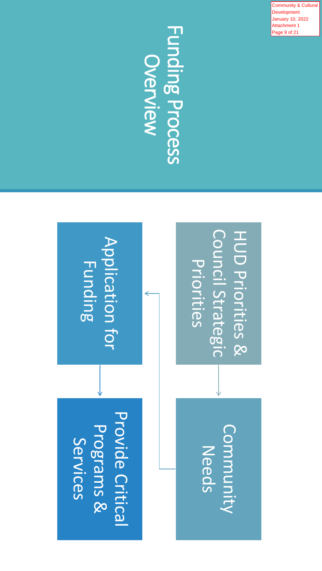ommunity & Cultural Development January 10, 2022 Attachment 1 age 9 of 21

## Funding Process Funding Process

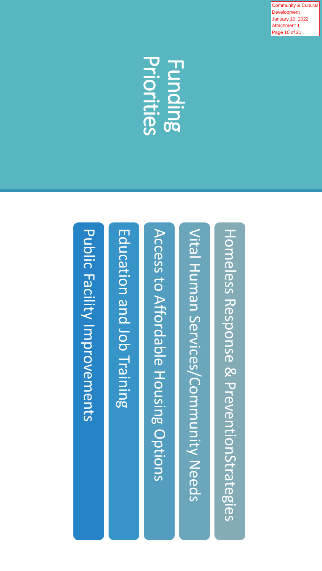**Community & Cultural Development** January 10, 2022 Attachment 1 Page 10 of 21

## Priorities **Funding**



Public Facility Improvements Public Facility Improvements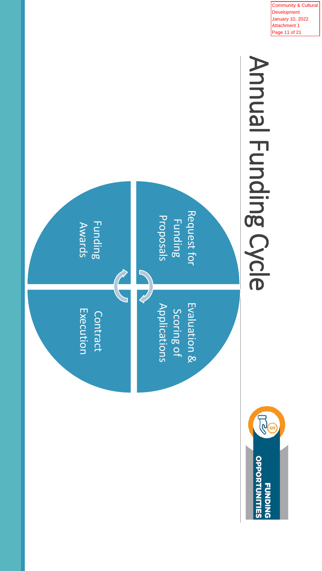

Community & Cultural Development January 10, 2022 Attachment 1 Page 11 of 21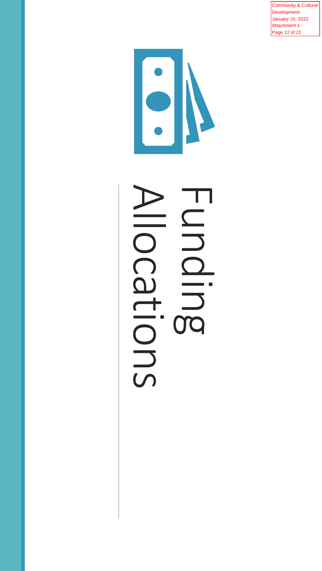Community & Cultural Development January 10, 2022 Attachment 1 Page 12 of 21

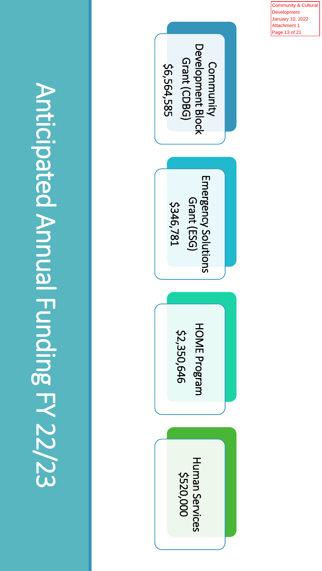Anticipated Annual Funding FY 22/23 Anticipated Annual Funding FY 22/23



Community & Cultural **Development** January 10, 2022 Attachment 1 Page 13 of 21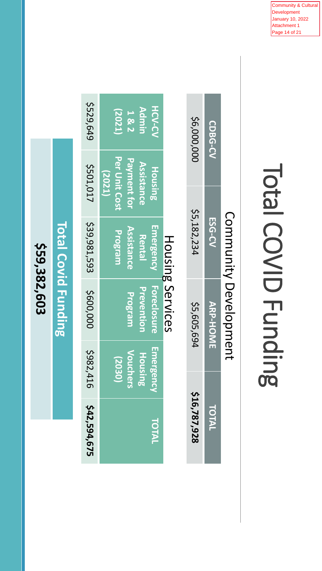Community & Cultural Development January 10, 2022 Attachment 1 Page 14 of 21

## Total COVID Funding Total COVID Funding

| 542,594,675  | 5982,416                                                        | \$600,000                                   | \$39,981,593                                        | 5501,017                                                                | \$529,649                                 |
|--------------|-----------------------------------------------------------------|---------------------------------------------|-----------------------------------------------------|-------------------------------------------------------------------------|-------------------------------------------|
| TOTAL        | <b>Emergency</b><br><u>Vouchers</u><br><b>Housing</b><br>(2030) | <b>Foreclosure</b><br>Prevention<br>Program | <b>Emergency</b><br>Assistance<br>Program<br>Rental | Per Unit Cost<br><b>Payment for</b><br>Assistance<br>Housing,<br>(2021) | <b>HCV-CV</b><br>Admin<br>(2021)<br>1 & 2 |
|              |                                                                 | <b>Housing Services</b>                     |                                                     |                                                                         |                                           |
| \$16,787,928 |                                                                 | \$5,605,694                                 | 55,182,234                                          |                                                                         | \$6,000,000                               |
| TOTAL        |                                                                 | <b>ARP-HOME</b>                             | <b>ESG-CV</b>                                       |                                                                         | <b>CDBG-CV</b>                            |
|              |                                                                 |                                             | Community Development                               |                                                                         |                                           |

\$59,382,603 **\$59,382,603**

**Total Covid Funding Total Covid Funding**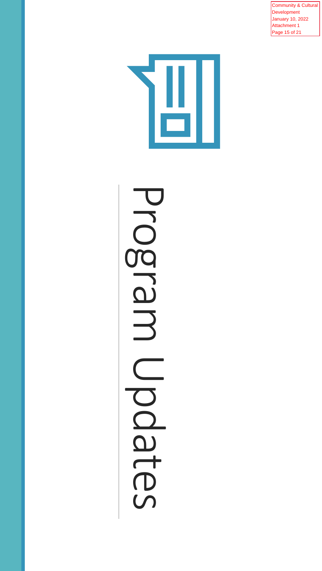Community & Cultural Development January 10, 2022 Attachment 1 Page 15 of 21



## Program Updates **Progral** 3 Updtes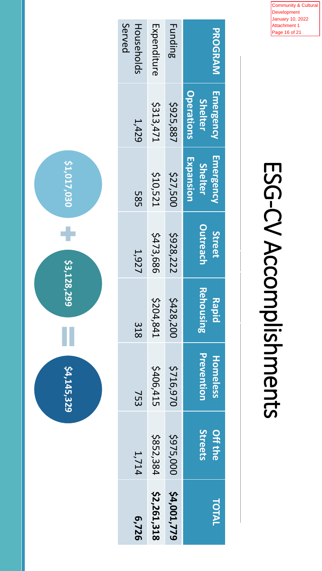Community & Cultural Development January 10, 2022 Attachment 1 Page 16 of 21

# ESG-CV Accomplishments

 $\begin{bmatrix} 1 \\ 2 \end{bmatrix}$ 

| 6,726       | 1,714                     | 753                    | 318                | 1,927                     | տ<br>80                                  | 1,429                                            | Served<br>Households |
|-------------|---------------------------|------------------------|--------------------|---------------------------|------------------------------------------|--------------------------------------------------|----------------------|
| \$2,261,318 | \$852,384                 | 5406,415               | 5204,841           | \$473,686                 | <b>\$10,521</b>                          | 5313,471                                         | Expenditure          |
| 54,001,779  | \$975,000                 | \$716,970              | \$428,200          | \$928,222                 | \$27,500                                 | \$925,887                                        | <b>Funding</b>       |
| TOTAL       | Streets<br><b>Off the</b> | Preventior<br>Homeless | Rehousing<br>Rapid | <b>Outreach</b><br>Street | Emergency<br>Expansion<br><b>Shelter</b> | <b>Operations</b><br>Emergency<br><b>Shelter</b> | PROGRAM              |

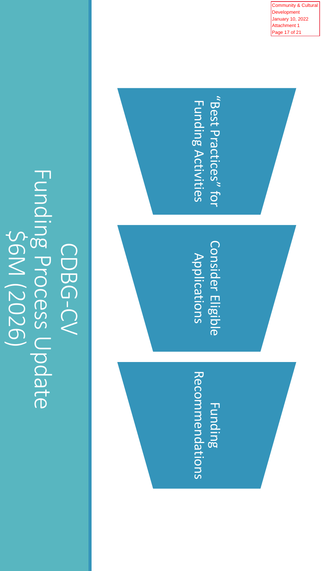**Funding Process Update** Funding Process Update \$6M (2026) CDBG-CV

"Best Practices" for "Best Practices" for **Funding Activities** Funding Activities **Consider Eligible** Consider Eligible Applications Non-Shelter congregate Recommendations Recommendations Funding

ommunity & Cultural **Development**  January 10, 2022 Attachment 1 Page 17 of 21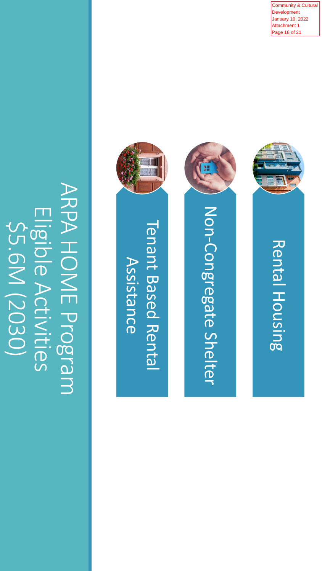ARPA HOME Program ARPA HOME Program Eligible Activities Eligible Activities \$5.6M (2030) \$5.6M (2030)





Rental Housing

Rental Housing

Community & Cultural Development January 10, 2022 Attachment 1 Page 18 of 21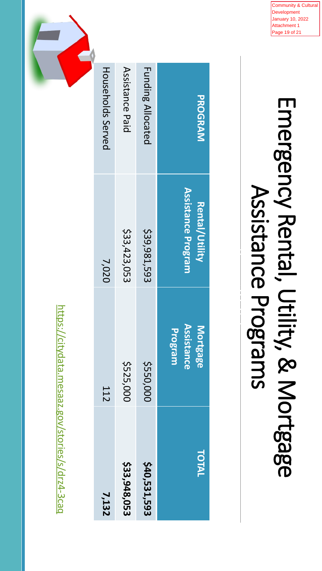

# Emergency Rental, Utility, & Mortgage Emergency Rental, Utility, & Mortgage Assistance Programs

 $\begin{picture}(180,170) \put(0,0){\line(1,0){10}} \put(10,0){\line(1,0){10}} \put(10,0){\line(1,0){10}} \put(10,0){\line(1,0){10}} \put(10,0){\line(1,0){10}} \put(10,0){\line(1,0){10}} \put(10,0){\line(1,0){10}} \put(10,0){\line(1,0){10}} \put(10,0){\line(1,0){10}} \put(10,0){\line(1,0){10}} \put(10,0){\line(1,0){10}} \put(10,0){\line$ 

| PROGRAM                  | <b>Assistance Program</b><br><b>Rental/Utility</b> | <b>Assistance</b><br>Mortgage<br>Program | TOTAL        |
|--------------------------|----------------------------------------------------|------------------------------------------|--------------|
| <b>Funding Allocated</b> | \$39,981,593                                       | \$550,000                                | \$40,531,593 |
| Assistance Paid          | \$33,423,053                                       | \$525,000                                | \$33,948,053 |
| <b>Households Served</b> | 7,020                                              | <b>112</b>                               | 7,132        |
|                          |                                                    |                                          |              |

https://citydata.mesaaz.gov/stories/s/drz4-3cag <https://citydata.mesaaz.gov/stories/s/drz4-3caq>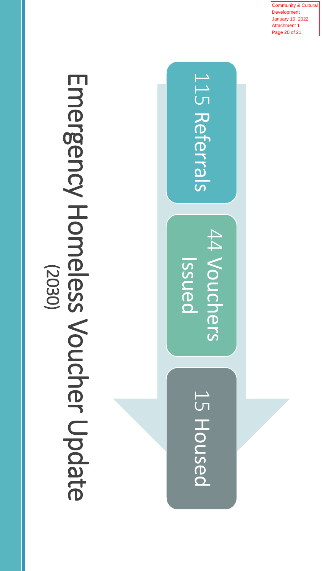Emergency Homeless Voucher Update Emergency Homeless Voucher Update (2030)



Community & Cultural Development January 10, 2022 Attachment 1 Page 20 of 21